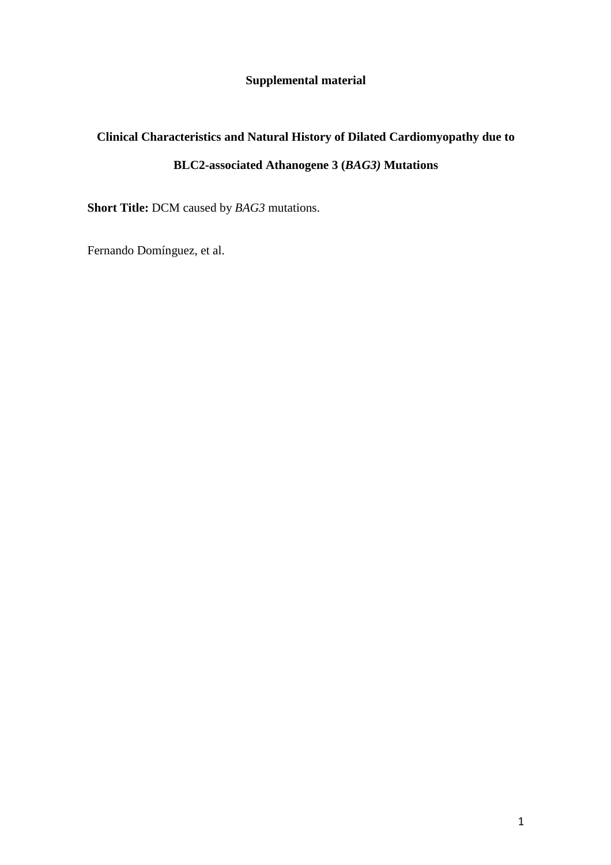## **Supplemental material**

# **Clinical Characteristics and Natural History of Dilated Cardiomyopathy due to BLC2-associated Athanogene 3 (***BAG3)* **Mutations**

**Short Title:** DCM caused by *BAG3* mutations.

Fernando Domínguez, et al.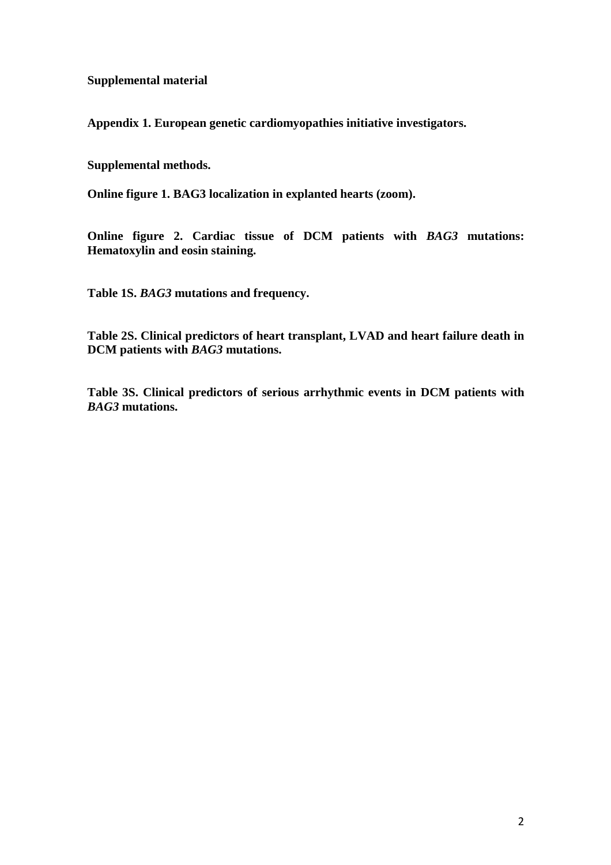**Supplemental material** 

**Appendix 1. European genetic cardiomyopathies initiative investigators.** 

**Supplemental methods.** 

**Online figure 1. BAG3 localization in explanted hearts (zoom).** 

**Online figure 2. Cardiac tissue of DCM patients with** *BAG3* **mutations: Hematoxylin and eosin staining.** 

**Table 1S.** *BAG3* **mutations and frequency.** 

**Table 2S. Clinical predictors of heart transplant, LVAD and heart failure death in DCM patients with** *BAG3* **mutations.** 

**Table 3S. Clinical predictors of serious arrhythmic events in DCM patients with**  *BAG3* **mutations.**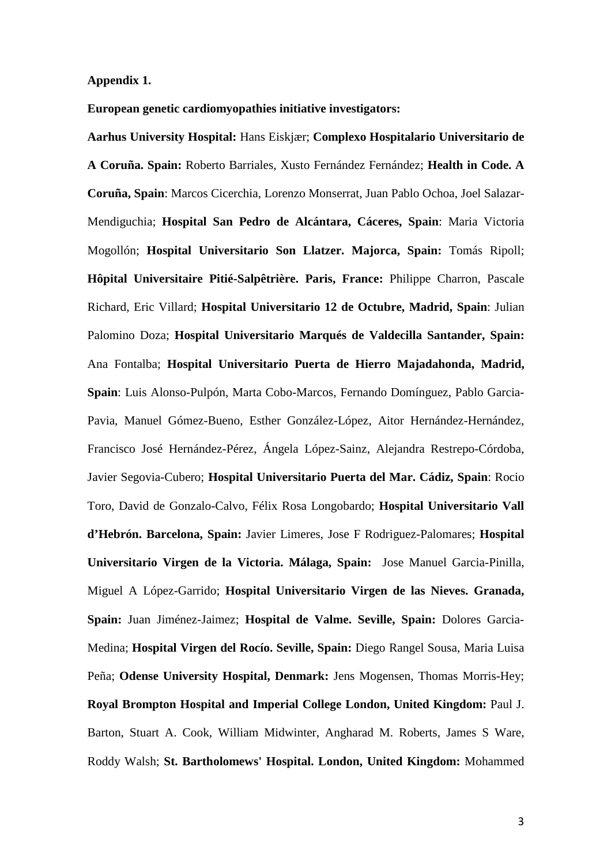#### **Appendix 1.**

**European genetic cardiomyopathies initiative investigators:** 

**Aarhus University Hospital:** Hans Eiskjær; **Complexo Hospitalario Universitario de A Coruña. Spain:** Roberto Barriales, Xusto Fernández Fernández; **Health in Code. A Coruña, Spain**: Marcos Cicerchia, Lorenzo Monserrat, Juan Pablo Ochoa, Joel Salazar-Mendiguchia; **Hospital San Pedro de Alcántara, Cáceres, Spain**: Maria Victoria Mogollón; **Hospital Universitario Son Llatzer. Majorca, Spain:** Tomás Ripoll; **Hôpital Universitaire Pitié-Salpêtrière. Paris, France:** Philippe Charron, Pascale Richard, Eric Villard; **Hospital Universitario 12 de Octubre, Madrid, Spain**: Julian Palomino Doza; **Hospital Universitario Marqués de Valdecilla Santander, Spain:** Ana Fontalba; **Hospital Universitario Puerta de Hierro Majadahonda, Madrid, Spain**: Luis Alonso-Pulpón, Marta Cobo-Marcos, Fernando Domínguez, Pablo Garcia-Pavia, Manuel Gómez-Bueno, Esther González-López, Aitor Hernández-Hernández, Francisco José Hernández-Pérez, Ángela López-Sainz, Alejandra Restrepo-Córdoba, Javier Segovia-Cubero; **Hospital Universitario Puerta del Mar. Cádiz, Spain**: Rocio Toro, David de Gonzalo-Calvo, Félix Rosa Longobardo; **Hospital Universitario Vall d'Hebrón. Barcelona, Spain:** Javier Limeres, Jose F Rodriguez-Palomares; **Hospital Universitario Virgen de la Victoria. Málaga, Spain:** Jose Manuel Garcia-Pinilla, Miguel A López-Garrido; **Hospital Universitario Virgen de las Nieves. Granada, Spain:** Juan Jiménez-Jaimez; **Hospital de Valme. Seville, Spain:** Dolores Garcia-Medina; **Hospital Virgen del Rocío. Seville, Spain:** Diego Rangel Sousa, Maria Luisa Peña; **Odense University Hospital, Denmark:** Jens Mogensen, Thomas Morris-Hey; **Royal Brompton Hospital and Imperial College London, United Kingdom:** Paul J. Barton, Stuart A. Cook, William Midwinter, Angharad M. Roberts, James S Ware, Roddy Walsh; **St. Bartholomews' Hospital. London, United Kingdom:** Mohammed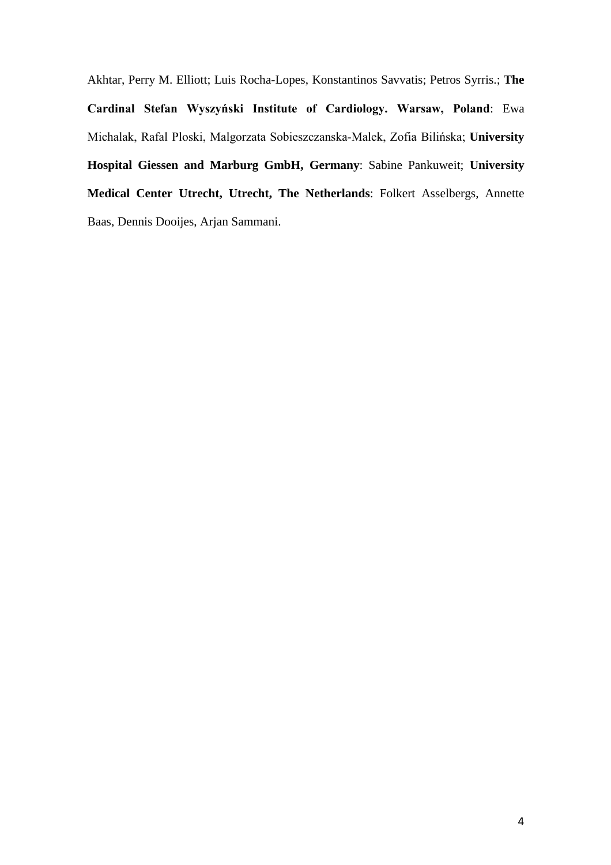Akhtar, Perry M. Elliott; Luis Rocha-Lopes, Konstantinos Savvatis; Petros Syrris.; **The Cardinal Stefan Wyszyński Institute of Cardiology. Warsaw, Poland**: Ewa Michalak, Rafal Ploski, Malgorzata Sobieszczanska-Malek, Zofia Bilińska; **University Hospital Giessen and Marburg GmbH, Germany**: Sabine Pankuweit; **University Medical Center Utrecht, Utrecht, The Netherlands**: Folkert Asselbergs, Annette Baas, Dennis Dooijes, Arjan Sammani.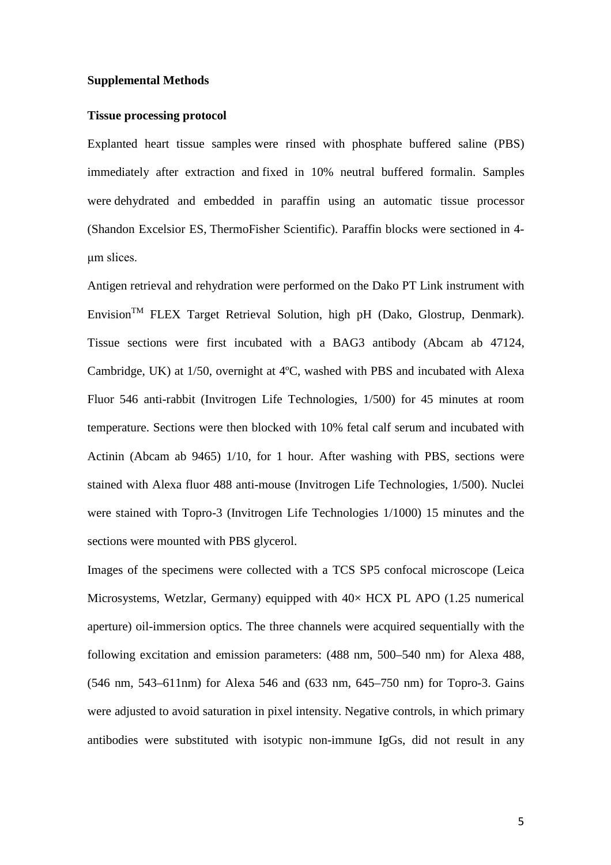#### **Supplemental Methods**

#### **Tissue processing protocol**

Explanted heart tissue samples were rinsed with phosphate buffered saline (PBS) immediately after extraction and fixed in 10% neutral buffered formalin. Samples were dehydrated and embedded in paraffin using an automatic tissue processor (Shandon Excelsior ES, ThermoFisher Scientific). Paraffin blocks were sectioned in 4 μm slices.

Antigen retrieval and rehydration were performed on the Dako PT Link instrument with Envision<sup>TM</sup> FLEX Target Retrieval Solution, high pH (Dako, Glostrup, Denmark). Tissue sections were first incubated with a BAG3 antibody (Abcam ab 47124, Cambridge, UK) at 1/50, overnight at 4ºC, washed with PBS and incubated with Alexa Fluor 546 anti-rabbit (Invitrogen Life Technologies, 1/500) for 45 minutes at room temperature. Sections were then blocked with 10% fetal calf serum and incubated with Actinin (Abcam ab 9465) 1/10, for 1 hour. After washing with PBS, sections were stained with Alexa fluor 488 anti-mouse (Invitrogen Life Technologies, 1/500). Nuclei were stained with Topro-3 (Invitrogen Life Technologies 1/1000) 15 minutes and the sections were mounted with PBS glycerol.

Images of the specimens were collected with a TCS SP5 confocal microscope (Leica Microsystems, Wetzlar, Germany) equipped with  $40\times$  HCX PL APO (1.25 numerical aperture) oil-immersion optics. The three channels were acquired sequentially with the following excitation and emission parameters: (488 nm, 500–540 nm) for Alexa 488, (546 nm, 543–611nm) for Alexa 546 and (633 nm, 645–750 nm) for Topro-3. Gains were adjusted to avoid saturation in pixel intensity. Negative controls, in which primary antibodies were substituted with isotypic non-immune IgGs, did not result in any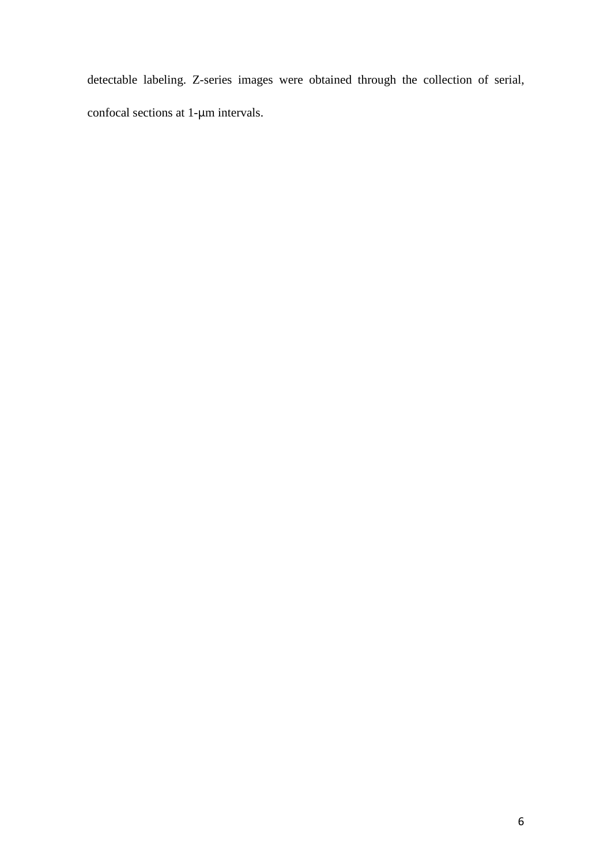detectable labeling. Z-series images were obtained through the collection of serial, confocal sections at 1-μm intervals.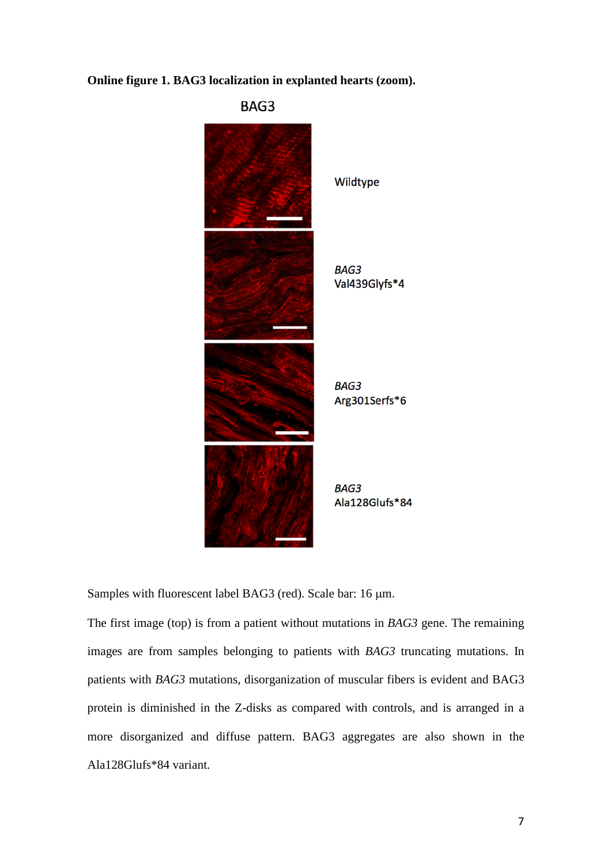**Online figure 1. BAG3 localization in explanted hearts (zoom).** 



Samples with fluorescent label BAG3 (red). Scale bar: 16  $\mu$ m.

The first image (top) is from a patient without mutations in *BAG3* gene. The remaining images are from samples belonging to patients with *BAG3* truncating mutations. In patients with *BAG3* mutations, disorganization of muscular fibers is evident and BAG3 protein is diminished in the Z-disks as compared with controls, and is arranged in a more disorganized and diffuse pattern. BAG3 aggregates are also shown in the Ala128Glufs\*84 variant.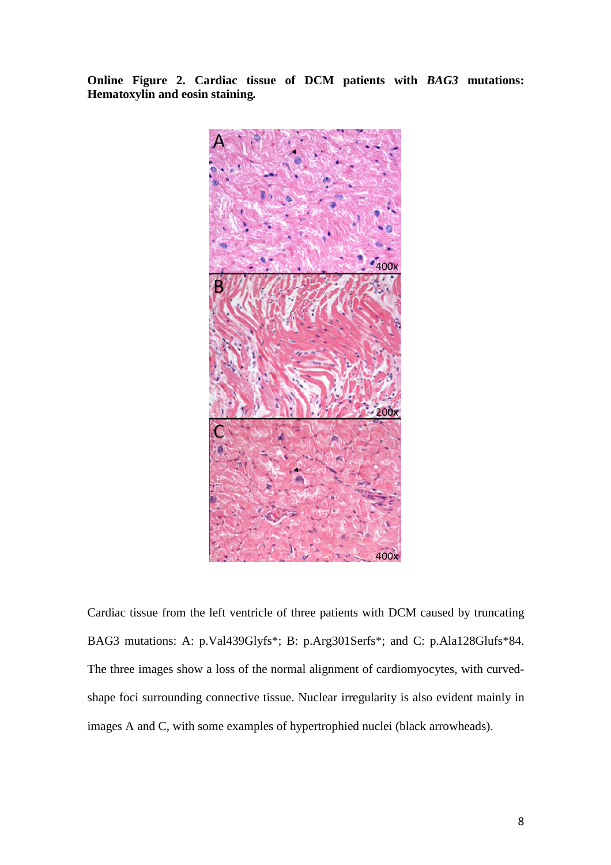**Online Figure 2. Cardiac tissue of DCM patients with** *BAG3* **mutations: Hematoxylin and eosin staining***.*



Cardiac tissue from the left ventricle of three patients with DCM caused by truncating BAG3 mutations: A: p.Val439Glyfs\*; B: p.Arg301Serfs\*; and C: p.Ala128Glufs\*84. The three images show a loss of the normal alignment of cardiomyocytes, with curvedshape foci surrounding connective tissue. Nuclear irregularity is also evident mainly in images A and C, with some examples of hypertrophied nuclei (black arrowheads).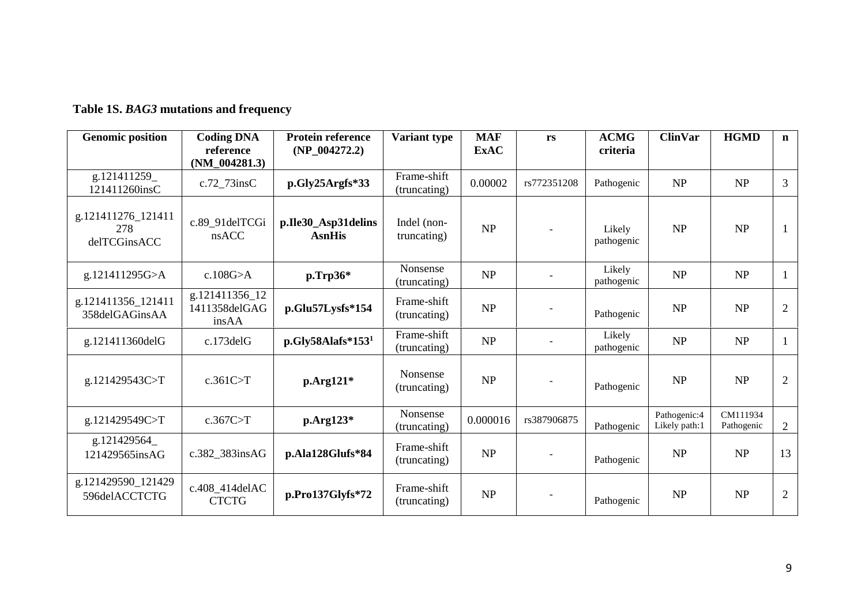## **Table 1S.** *BAG3* **mutations and frequency**

| <b>Genomic position</b>                   | <b>Coding DNA</b><br>reference<br>$(NM_004281.3)$ | <b>Protein reference</b><br>(NP 004272.2) | Variant type                    | <b>MAF</b><br><b>ExAC</b>         | rs          | <b>ACMG</b><br>criteria | <b>ClinVar</b>                | <b>HGMD</b>            | $\mathbf n$    |
|-------------------------------------------|---------------------------------------------------|-------------------------------------------|---------------------------------|-----------------------------------|-------------|-------------------------|-------------------------------|------------------------|----------------|
| g.121411259_<br>121411260insC             | c.72 73insC                                       | p.Gly25Argfs*33                           | Frame-shift<br>(truncating)     | 0.00002                           | rs772351208 | Pathogenic              | NP                            | NP                     | 3              |
| g.121411276_121411<br>278<br>delTCGinsACC | c.89 91delTCGi<br>nsACC                           | p.Ile30_Asp31delins<br><b>AsnHis</b>      | Indel (non-<br>truncating)      | NP                                |             | Likely<br>pathogenic    | NP                            | NP                     | $\mathbf{1}$   |
| g.121411295G>A                            | c.108G > A                                        | $p.\mathrm{Tr}p36^*$                      | Nonsense<br>(truncating)        | NP                                |             | Likely<br>pathogenic    | NP                            | NP                     | $\mathbf{1}$   |
| g.121411356_121411<br>358delGAGinsAA      | g.121411356_12<br>1411358delGAG<br>insAA          | p.Glu57Lysfs*154                          | Frame-shift<br>(truncating)     | NP                                |             | Pathogenic              | NP                            | NP                     | $\mathfrak{2}$ |
| g.121411360delG                           | c.173delG                                         | $p.Gly58Alafs*1531$                       | Frame-shift<br>(truncating)     | $\ensuremath{\mathbf{NP}}\xspace$ |             | Likely<br>pathogenic    | NP                            | NP                     | $\mathbf{1}$   |
| g.121429543C>T                            | c.361C > T                                        | $p. Arg121*$                              | <b>Nonsense</b><br>(truncating) | NP                                |             | Pathogenic              | NP                            | NP                     | $\mathfrak{2}$ |
| g.121429549C>T                            | c.367C>T                                          | $p. Arg123*$                              | Nonsense<br>(truncating)        | 0.000016                          | rs387906875 | Pathogenic              | Pathogenic:4<br>Likely path:1 | CM111934<br>Pathogenic | $\mathfrak{2}$ |
| g.121429564_<br>121429565insAG            | c.382_383insAG                                    | p.Ala128Glufs*84                          | Frame-shift<br>(truncating)     | $\ensuremath{\mathbf{NP}}\xspace$ |             | Pathogenic              | NP                            | NP                     | 13             |
| g.121429590_121429<br>596delACCTCTG       | c.408_414delAC<br><b>CTCTG</b>                    | p.Pro137Glyfs*72                          | Frame-shift<br>(truncating)     | NP                                |             | Pathogenic              | <b>NP</b>                     | NP                     | $\overline{2}$ |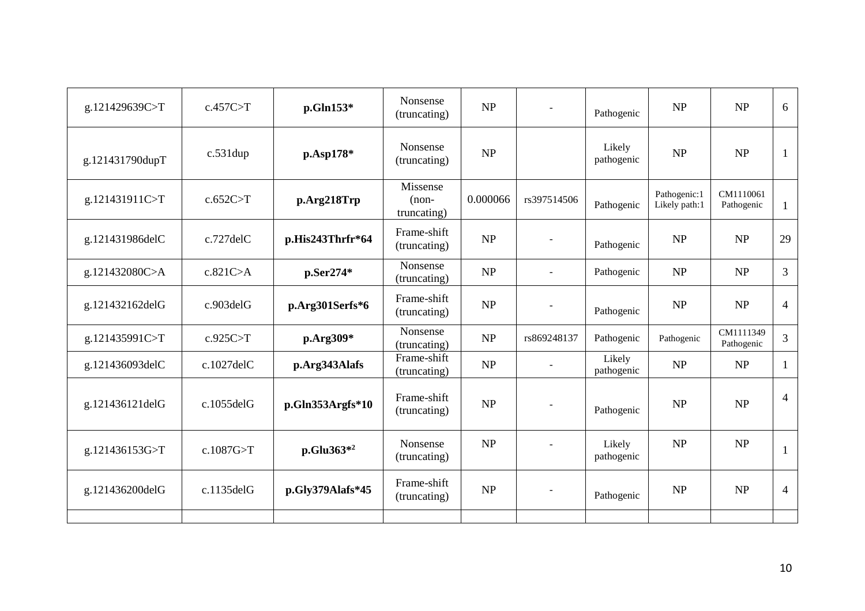| g.121429639C>T  | c.457C>T         | p.Gln153*              | Nonsense<br>(truncating)           | NP       |                              | Pathogenic           | NP                            | NP                      | 6              |
|-----------------|------------------|------------------------|------------------------------------|----------|------------------------------|----------------------|-------------------------------|-------------------------|----------------|
| g.121431790dupT | $c.531$ dup      | p.Asp178*              | Nonsense<br>(truncating)           | NP       |                              | Likely<br>pathogenic | NP                            | NP                      | 1              |
| g.121431911C>T  | c.652C > T       | p.Arg218Trp            | Missense<br>$(non-$<br>truncating) | 0.000066 | rs397514506                  | Pathogenic           | Pathogenic:1<br>Likely path:1 | CM1110061<br>Pathogenic | $\mathbf{1}$   |
| g.121431986delC | c.727delC        | p.His243Thrfr*64       | Frame-shift<br>(truncating)        | NP       |                              | Pathogenic           | NP                            | NP                      | 29             |
| g.121432080C>A  | c.821C > A       | p.Ser274*              | Nonsense<br>(truncating)           | NP       | $\blacksquare$               | Pathogenic           | NP                            | NP                      | $\mathfrak{Z}$ |
| g.121432162delG | c.903delG        | p.Arg301Serfs*6        | Frame-shift<br>(truncating)        | NP       | $\qquad \qquad \blacksquare$ | Pathogenic           | NP                            | NP                      | $\overline{4}$ |
| g.121435991C>T  | c.925C>T         | p.Arg309*              | Nonsense<br>(truncating)           | NP       | rs869248137                  | Pathogenic           | Pathogenic                    | CM1111349<br>Pathogenic | 3              |
| g.121436093delC | $c.1027$ del $C$ | p.Arg343Alafs          | Frame-shift<br>(truncating)        | NP       |                              | Likely<br>pathogenic | NP                            | NP                      | 1              |
| g.121436121delG | c.1055delG       | p.Gln353Argfs*10       | Frame-shift<br>(truncating)        | NP       |                              | Pathogenic           | NP                            | NP                      | $\overline{4}$ |
| g.121436153G>T  | c.1087G > T      | p.Glu363 <sup>*2</sup> | Nonsense<br>(truncating)           | NP       |                              | Likely<br>pathogenic | <b>NP</b>                     | NP                      | -1             |
| g.121436200delG | $c.1135$ delG    | p.Gly379Alafs*45       | Frame-shift<br>(truncating)        | NP       | $\overline{\phantom{a}}$     | Pathogenic           | <b>NP</b>                     | NP                      | $\overline{4}$ |
|                 |                  |                        |                                    |          |                              |                      |                               |                         |                |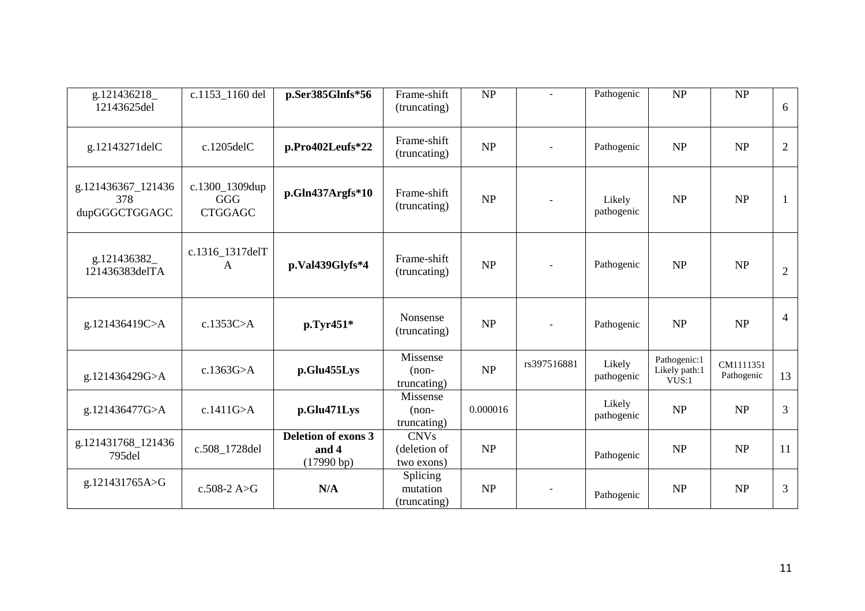| g.121436218<br>12143625del                 | c.1153_1160 del                         | p.Ser385Glnfs*56                            | Frame-shift<br>(truncating)               | NP       | $\sim$                   | Pathogenic           | NP                                     | NP                      | 6              |
|--------------------------------------------|-----------------------------------------|---------------------------------------------|-------------------------------------------|----------|--------------------------|----------------------|----------------------------------------|-------------------------|----------------|
| g.12143271delC                             | $c.1205$ del $C$                        | p.Pro402Leufs*22                            | Frame-shift<br>(truncating)               | NP       | $\overline{a}$           | Pathogenic           | <b>NP</b>                              | NP                      | $\overline{2}$ |
| g.121436367_121436<br>378<br>dupGGGCTGGAGC | c.1300_1309dup<br>GGG<br><b>CTGGAGC</b> | $p.Gln437Argfs*10$                          | Frame-shift<br>(truncating)               | NP       |                          | Likely<br>pathogenic | <b>NP</b>                              | NP                      | 1              |
| g.121436382<br>121436383delTA              | c.1316_1317delT<br>A                    | p.Val439Glyfs*4                             | Frame-shift<br>(truncating)               | NP       | $\overline{\phantom{a}}$ | Pathogenic           | NP                                     | <b>NP</b>               | $\overline{2}$ |
| g.121436419C>A                             | c.1353 $C > A$                          | p.Tyr451*                                   | Nonsense<br>(truncating)                  | NP       | $\overline{a}$           | Pathogenic           | <b>NP</b>                              | NP                      | $\overline{4}$ |
| g.121436429G>A                             | c.1363G > A                             | p.Glu455Lys                                 | Missense<br>$(non-$<br>truncating)        | NP       | rs397516881              | Likely<br>pathogenic | Pathogenic:1<br>Likely path:1<br>VUS:1 | CM1111351<br>Pathogenic | 13             |
| g.121436477G>A                             | c.1411G > A                             | p.Glu471Lys                                 | Missense<br>$(non-$<br>truncating)        | 0.000016 |                          | Likely<br>pathogenic | NP                                     | NP                      | 3              |
| g.121431768_121436<br>795del               | c.508_1728del                           | Deletion of exons 3<br>and 4<br>(17990 b p) | <b>CNVs</b><br>(deletion of<br>two exons) | NP       |                          | Pathogenic           | <b>NP</b>                              | NP                      | 11             |
| g.121431765A>G                             | c.508-2 $A > G$                         | N/A                                         | Splicing<br>mutation<br>(truncating)      | NP       |                          | Pathogenic           | NP                                     | NP                      | 3              |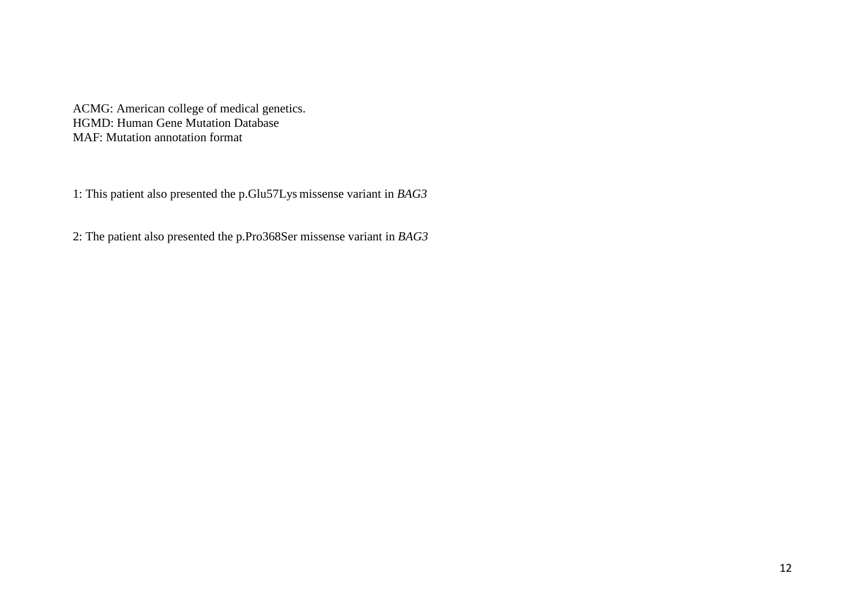ACMG: American college of medical genetics. HGMD: Human Gene Mutation Database MAF: Mutation annotation format

1: This patient also presented the p.Glu57Lys missense variant in *BAG3*

2: The patient also presented the p.Pro368Ser missense variant in *BAG3*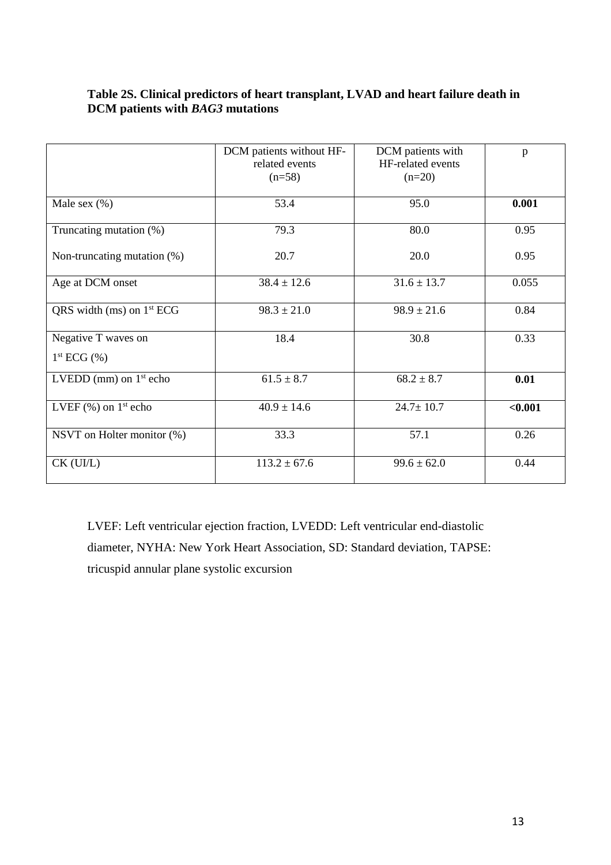### **Table 2S. Clinical predictors of heart transplant, LVAD and heart failure death in DCM patients with** *BAG3* **mutations**

|                                             | DCM patients without HF-<br>related events<br>$(n=58)$ | DCM patients with<br>HF-related events<br>$(n=20)$ | p       |
|---------------------------------------------|--------------------------------------------------------|----------------------------------------------------|---------|
| Male sex $(\%)$                             | 53.4                                                   | 95.0                                               | 0.001   |
| Truncating mutation (%)                     | 79.3                                                   | 80.0                                               | 0.95    |
| Non-truncating mutation (%)                 | 20.7                                                   | 20.0                                               | 0.95    |
| Age at DCM onset                            | $38.4 \pm 12.6$                                        | $31.6 \pm 13.7$                                    | 0.055   |
| QRS width (ms) on $1st ECG$                 | $98.3 \pm 21.0$                                        | $98.9 \pm 21.6$                                    | 0.84    |
| Negative T waves on<br>$1^{st}$ ECG $(\% )$ | 18.4                                                   | 30.8                                               | 0.33    |
| LVEDD (mm) on $1st$ echo                    | $61.5 \pm 8.7$                                         | $68.2 \pm 8.7$                                     | 0.01    |
| LVEF $(\%)$ on $1^{\text{st}}$ echo         | $40.9 \pm 14.6$                                        | $24.7 \pm 10.7$                                    | < 0.001 |
| NSVT on Holter monitor (%)                  | 33.3                                                   | 57.1                                               | 0.26    |
| $CK$ (UI/L)                                 | $113.2 \pm 67.6$                                       | $99.6 \pm 62.0$                                    | 0.44    |

LVEF: Left ventricular ejection fraction, LVEDD: Left ventricular end-diastolic diameter, NYHA: New York Heart Association, SD: Standard deviation, TAPSE: tricuspid annular plane systolic excursion